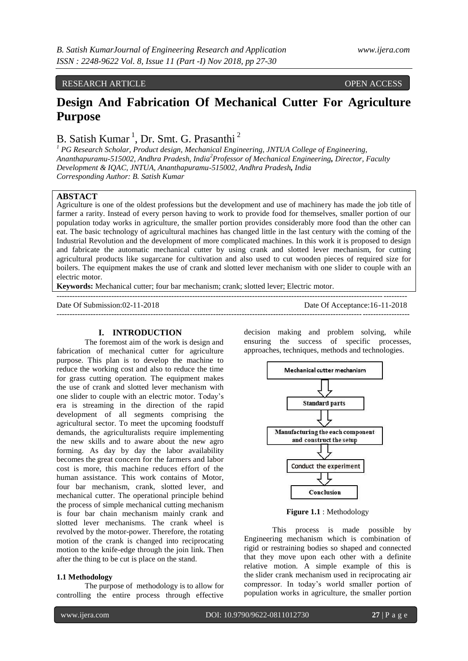## RESEARCH ARTICLE **OPEN ACCESS**

# **Design And Fabrication Of Mechanical Cutter For Agriculture Purpose**

## B. Satish Kumar<sup>1</sup>, Dr. Smt. G. Prasanthi<sup>2</sup>

*<sup>1</sup> PG Research Scholar, Product design, Mechanical Engineering, JNTUA College of Engineering, Ananthapuramu-515002, Andhra Pradesh, India<sup>2</sup>Professor of Mechanical Engineering, Director, Faculty Development & IQAC, JNTUA, Ananthapuramu-515002, Andhra Pradesh, India Corresponding Author: B. Satish Kumar*

### **ABSTACT**

Agriculture is one of the oldest professions but the development and use of machinery has made the job title of farmer a rarity. Instead of every person having to work to provide food for themselves, smaller portion of our population today works in agriculture, the smaller portion provides considerably more food than the other can eat. The basic technology of agricultural machines has changed little in the last century with the coming of the Industrial Revolution and the development of more complicated machines. In this work it is proposed to design and fabricate the automatic mechanical cutter by using crank and slotted lever mechanism, for cutting agricultural products like sugarcane for cultivation and also used to cut wooden pieces of required size for boilers. The equipment makes the use of crank and slotted lever mechanism with one slider to couple with an electric motor.

--------------------------------------------------------------------------------------------------------------------------------------

---------------------------------------------------------------------------------------------------------------------------------------

**Keywords:** Mechanical cutter; four bar mechanism; crank; slotted lever; Electric motor.

Date Of Submission:02-11-2018 Date Of Acceptance:16-11-2018

#### **I. INTRODUCTION**

The foremost aim of the work is design and fabrication of mechanical cutter for agriculture purpose. This plan is to develop the machine to reduce the working cost and also to reduce the time for grass cutting operation. The equipment makes the use of crank and slotted lever mechanism with one slider to couple with an electric motor. Today's era is streaming in the direction of the rapid development of all segments comprising the agricultural sector. To meet the upcoming foodstuff demands, the agriculturalists require implementing the new skills and to aware about the new agro forming. As day by day the labor availability becomes the great concern for the farmers and labor cost is more, this machine reduces effort of the human assistance. This work contains of Motor, four bar mechanism, crank, slotted lever, and mechanical cutter. The operational principle behind the process of simple mechanical cutting mechanism is four bar chain mechanism mainly crank and slotted lever mechanisms. The crank wheel is revolved by the motor-power. Therefore, the rotating motion of the crank is changed into reciprocating motion to the knife-edge through the join link. Then after the thing to be cut is place on the stand.

#### **1.1 Methodology**

The purpose of methodology is to allow for controlling the entire process through effective

decision making and problem solving, while ensuring the success of specific processes, approaches, techniques, methods and technologies.



**Figure 1.1** : Methodology

This process is made possible by Engineering mechanism which is combination of rigid or restraining bodies so shaped and connected that they move upon each other with a definite relative motion. A simple example of this is the [slider crank mechanism](https://nptel.ac.in/courses/Webcourse-contents/IIT-Delhi/Kinematics%20of%20Machine/site/basickinematics/anims/slider_crank.htm) used in reciprocating air compressor. In today's world smaller portion of population works in agriculture, the smaller portion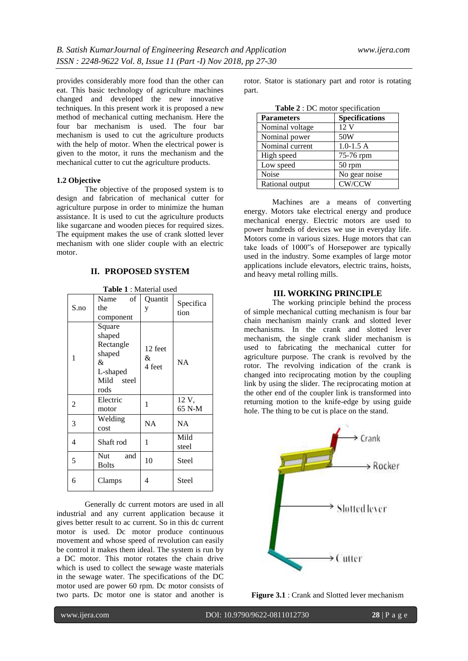provides considerably more food than the other can eat. This basic technology of agriculture machines changed and developed the new innovative techniques. In this present work it is proposed a new method of mechanical cutting mechanism. Here the four bar mechanism is used. The four bar mechanism is used to cut the agriculture products with the help of motor. When the electrical power is given to the motor, it runs the mechanism and the mechanical cutter to cut the agriculture products.

### **1.2 Objective**

The objective of the proposed system is to design and fabrication of mechanical cutter for agriculture purpose in order to minimize the human assistance. It is used to cut the agriculture products like sugarcane and wooden pieces for required sizes. The equipment makes the use of crank slotted lever mechanism with one slider couple with an electric motor.

## **II. PROPOSED SYSTEM**

| S.no | of<br>Name<br>the<br>component                                                 | Quantit<br>у           | Specifica<br>tion |
|------|--------------------------------------------------------------------------------|------------------------|-------------------|
| 1    | Square<br>shaped<br>Rectangle<br>shaped<br>&<br>L-shaped<br>Mild steel<br>rods | 12 feet<br>&<br>4 feet | NA                |
| 2    | Electric<br>motor                                                              | 1                      | 12 V,<br>65 N-M   |
| 3    | Welding<br>cost                                                                | <b>NA</b>              | <b>NA</b>         |
| 4    | Shaft rod                                                                      | 1                      | Mild<br>steel     |
| 5    | Nut<br>and<br><b>Bolts</b>                                                     | 10                     | Steel             |
| 6    | Clamps                                                                         | 4                      | Steel             |

**Table 1** : Material used

Generally dc current motors are used in all industrial and any current application because it gives better result to ac current. So in this dc current motor is used. Dc motor produce continuous movement and whose speed of revolution can easily be control it makes them ideal. The system is run by a DC motor. This motor rotates the chain drive which is used to collect the sewage waste materials in the sewage water. The specifications of the DC motor used are power 60 rpm. Dc motor consists of two parts. Dc motor one is stator and another is

rotor. Stator is stationary part and rotor is rotating part.

| Table 2 : DC motor specification |                       |  |  |
|----------------------------------|-----------------------|--|--|
| <b>Parameters</b>                | <b>Specifications</b> |  |  |
| Nominal voltage                  | 12V                   |  |  |
| Nominal power                    | 50W                   |  |  |
| Nominal current                  | $1.0 - 1.5 A$         |  |  |
| High speed                       | 75-76 rpm             |  |  |
| Low speed                        | 50 rpm                |  |  |
| Noise                            | No gear noise         |  |  |
| Rational output                  | CW/CCW                |  |  |

Machines are a means of converting energy. Motors take electrical energy and produce mechanical energy. Electric motors are used to power hundreds of devices we use in everyday life. Motors come in various sizes. Huge motors that can take loads of 1000"s of Horsepower are typically used in the industry. Some examples of large motor applications include elevators, electric trains, hoists, and heavy metal rolling mills.

#### **III. WORKING PRINCIPLE**

The working principle behind the process of simple mechanical cutting mechanism is four bar chain mechanism mainly crank and slotted lever mechanisms. In the crank and slotted lever mechanism, the single crank slider mechanism is used to fabricating the mechanical cutter for agriculture purpose. The crank is revolved by the rotor. The revolving indication of the crank is changed into reciprocating motion by the coupling link by using the slider. The reciprocating motion at the other end of the coupler link is transformed into returning motion to the knife-edge by using guide hole. The thing to be cut is place on the stand.



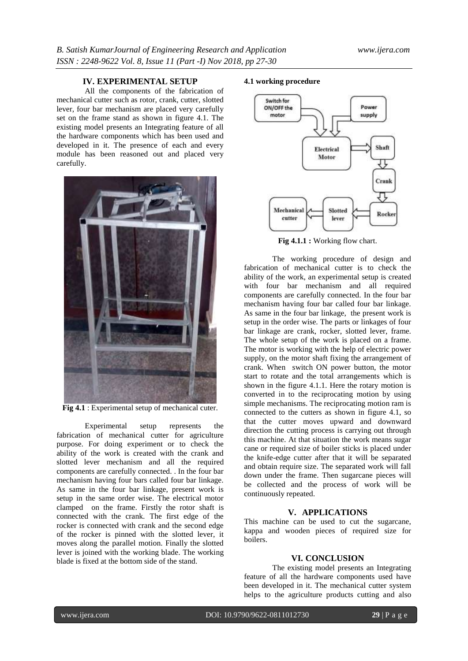## **IV. EXPERIMENTAL SETUP**

All the components of the fabrication of mechanical cutter such as rotor, crank, cutter, slotted lever, four bar mechanism are placed very carefully set on the frame stand as shown in figure 4.1. The existing model presents an Integrating feature of all the hardware components which has been used and developed in it. The presence of each and every module has been reasoned out and placed very carefully.



**Fig 4.1** : Experimental setup of mechanical cuter.

Experimental setup represents the fabrication of mechanical cutter for agriculture purpose. For doing experiment or to check the ability of the work is created with the crank and slotted lever mechanism and all the required components are carefully connected. . In the four bar mechanism having four bars called four bar linkage. As same in the four bar linkage, present work is setup in the same order wise. The electrical motor clamped on the frame. Firstly the rotor shaft is connected with the crank. The first edge of the rocker is connected with crank and the second edge of the rocker is pinned with the slotted lever, it moves along the parallel motion. Finally the slotted lever is joined with the working blade. The working blade is fixed at the bottom side of the stand.

## **4.1 working procedure**



**Fig 4.1.1 :** Working flow chart.

The working procedure of design and fabrication of mechanical cutter is to check the ability of the work, an experimental setup is created with four bar mechanism and all required components are carefully connected. In the four bar mechanism having four bar called four bar linkage. As same in the four bar linkage, the present work is setup in the order wise. The parts or linkages of four bar linkage are crank, rocker, slotted lever, frame. The whole setup of the work is placed on a frame. The motor is working with the help of electric power supply, on the motor shaft fixing the arrangement of crank. When switch ON power button, the motor start to rotate and the total arrangements which is shown in the figure 4.1.1. Here the rotary motion is converted in to the reciprocating motion by using simple mechanisms. The reciprocating motion ram is connected to the cutters as shown in figure 4.1, so that the cutter moves upward and downward direction the cutting process is carrying out through this machine. At that situation the work means sugar cane or required size of boiler sticks is placed under the knife-edge cutter after that it will be separated and obtain require size. The separated work will fall down under the frame. Then sugarcane pieces will be collected and the process of work will be continuously repeated.

## **V. APPLICATIONS**

This machine can be used to cut the sugarcane, kappa and wooden pieces of required size for boilers.

## **VI. CONCLUSION**

The existing model presents an Integrating feature of all the hardware components used have been developed in it. The mechanical cutter system helps to the agriculture products cutting and also